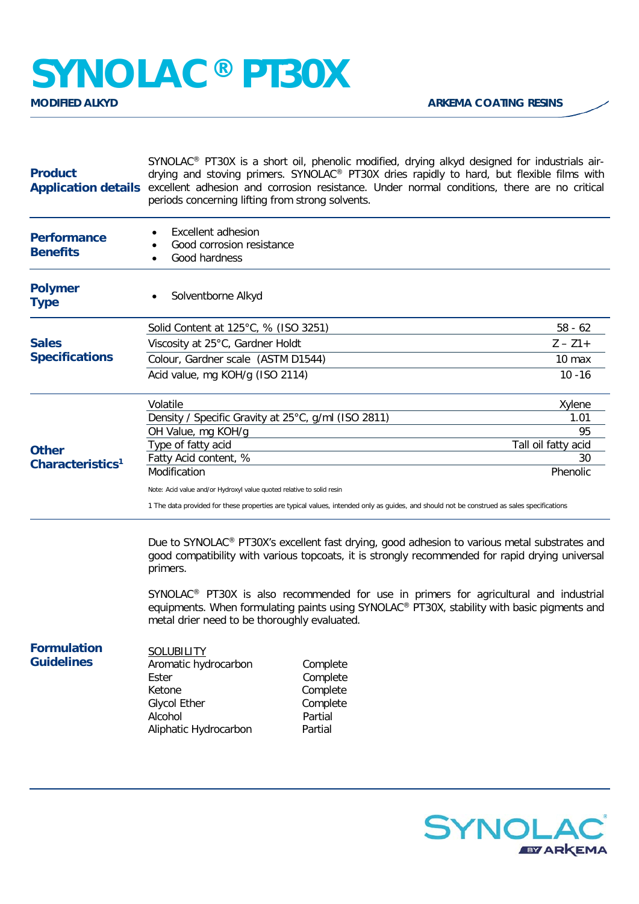## **SYNOLAC® PT30X**

| <b>Product</b>                               | SYNOLAC <sup>®</sup> PT30X is a short oil, phenolic modified, drying alkyd designed for industrials air-<br>drying and stoving primers. SYNOLAC® PT30X dries rapidly to hard, but flexible films with<br>Application details excellent adhesion and corrosion resistance. Under normal conditions, there are no critical<br>periods concerning lifting from strong solvents.                                                                                    |                                                                    |                           |  |
|----------------------------------------------|-----------------------------------------------------------------------------------------------------------------------------------------------------------------------------------------------------------------------------------------------------------------------------------------------------------------------------------------------------------------------------------------------------------------------------------------------------------------|--------------------------------------------------------------------|---------------------------|--|
| <b>Performance</b><br><b>Benefits</b>        | <b>Excellent adhesion</b><br>Good corrosion resistance<br>Good hardness                                                                                                                                                                                                                                                                                                                                                                                         |                                                                    |                           |  |
| <b>Polymer</b><br><b>Type</b>                | Solventborne Alkyd                                                                                                                                                                                                                                                                                                                                                                                                                                              |                                                                    |                           |  |
| <b>Sales</b><br><b>Specifications</b>        | Solid Content at 125°C, % (ISO 3251)                                                                                                                                                                                                                                                                                                                                                                                                                            |                                                                    | $58 - 62$                 |  |
|                                              | Viscosity at 25°C, Gardner Holdt                                                                                                                                                                                                                                                                                                                                                                                                                                |                                                                    | $Z - Z1 +$                |  |
|                                              | Colour, Gardner scale (ASTM D1544)                                                                                                                                                                                                                                                                                                                                                                                                                              |                                                                    | 10 <sub>max</sub>         |  |
|                                              | Acid value, mg KOH/g (ISO 2114)                                                                                                                                                                                                                                                                                                                                                                                                                                 |                                                                    | $10 - 16$                 |  |
| <b>Other</b><br>Characteristics <sup>1</sup> | Volatile                                                                                                                                                                                                                                                                                                                                                                                                                                                        |                                                                    | Xylene                    |  |
|                                              | Density / Specific Gravity at 25°C, g/ml (ISO 2811)                                                                                                                                                                                                                                                                                                                                                                                                             |                                                                    | 1.01                      |  |
|                                              | OH Value, mg KOH/g                                                                                                                                                                                                                                                                                                                                                                                                                                              |                                                                    | 95                        |  |
|                                              | Type of fatty acid<br>Fatty Acid content, %                                                                                                                                                                                                                                                                                                                                                                                                                     |                                                                    | Tall oil fatty acid<br>30 |  |
|                                              | Modification                                                                                                                                                                                                                                                                                                                                                                                                                                                    |                                                                    | Phenolic                  |  |
|                                              | Note: Acid value and/or Hydroxyl value quoted relative to solid resin                                                                                                                                                                                                                                                                                                                                                                                           |                                                                    |                           |  |
|                                              | 1 The data provided for these properties are typical values, intended only as guides, and should not be construed as sales specifications                                                                                                                                                                                                                                                                                                                       |                                                                    |                           |  |
|                                              | Due to SYNOLAC® PT30X's excellent fast drying, good adhesion to various metal substrates and<br>good compatibility with various topcoats, it is strongly recommended for rapid drying universal<br>primers.<br>SYNOLAC <sup>®</sup> PT30X is also recommended for use in primers for agricultural and industrial<br>equipments. When formulating paints using SYNOLAC® PT30X, stability with basic pigments and<br>metal drier need to be thoroughly evaluated. |                                                                    |                           |  |
| <b>Formulation</b><br><b>Guidelines</b>      | <b>SOLUBILITY</b><br>Aromatic hydrocarbon<br>Ester<br>Ketone<br><b>Glycol Ether</b><br>Alcohol<br>Aliphatic Hydrocarbon                                                                                                                                                                                                                                                                                                                                         | Complete<br>Complete<br>Complete<br>Complete<br>Partial<br>Partial |                           |  |